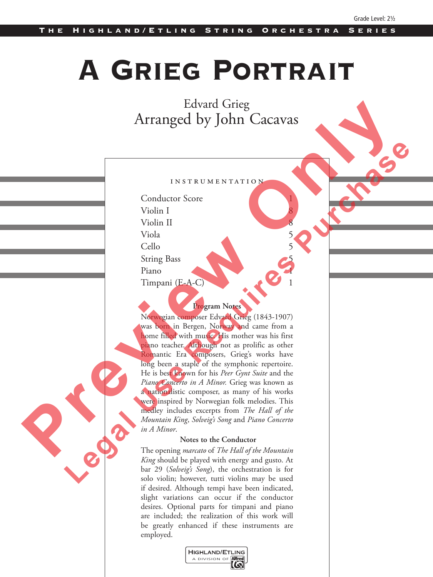# A Grieg Portrait

### Edvard Grieg Arranged by John Cacavas

i n s t r u m e n t a t i o n

Conductor Score

Violin I 8

Violin II

Viola 5

Cello 5

**String Bass** 

Piano

Timpani (E-A-C) 1

#### **Program Notes**

Norwegian composer Edvard Grieg (1843-1907) was born in Bergen, Norway and came from a home filled with music. His mother was his first piano teacher. Although not as prolific as other Romantic Era composers, Grieg's works have long been a staple of the symphonic repertoire. He is best known for his *Peer Gynt Suite* and the *Piano Concerto in A Minor.* Grieg was known as a nationalistic composer, as many of his works were inspired by Norwegian folk melodies. This medley includes excerpts from *The Hall of the Mountain King*, *Solveig's Song* and *Piano Concerto in A Minor*. Edward Grieg<br>
Arranged by John Cacavas<br>
Narranged by John Cacavas<br>
Narranged by Schn Cacavas<br>
Narranged Schneider Schneider<br>
Straits and the set of the set of the set of the set of the set of the set of the set of the set **Legal Use Regard School Conduction**<br>
Visit Regard Note Conduct Conduction Conduction Conduction Conduction Conduction Conduction Conduction Conduction Conduction Conduction Conduction Conduction Conduction Conduction Cond

#### **Notes to the Conductor**

The opening *marcato* of *The Hall of the Mountain King* should be played with energy and gusto. At bar 29 (*Solveig's Song*), the orchestration is for solo violin; however, tutti violins may be used if desired. Although tempi have been indicated, slight variations can occur if the conductor desires. Optional parts for timpani and piano are included; the realization of this work will be greatly enhanced if these instruments are employed.

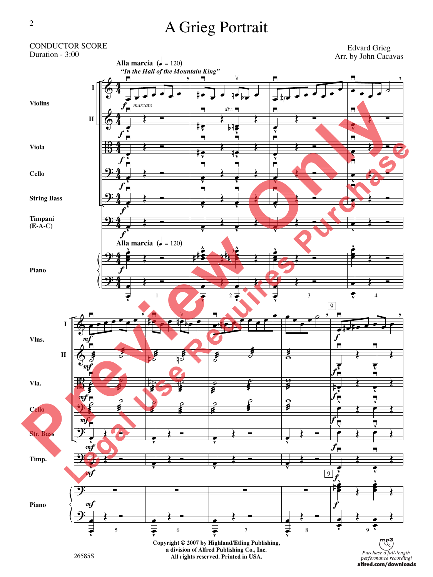## A Grieg Portrait

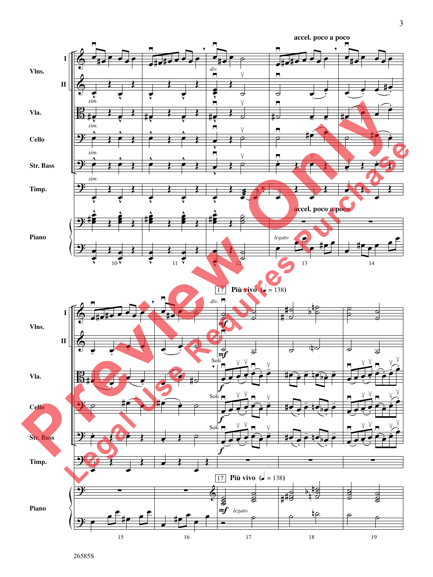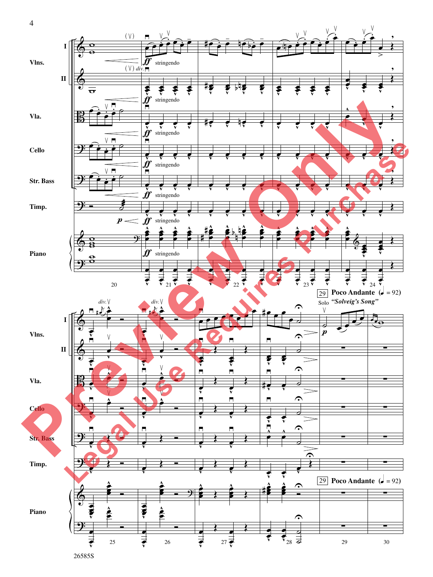

4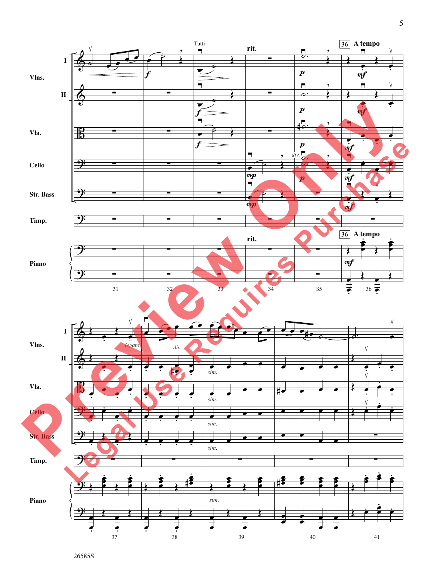

26585S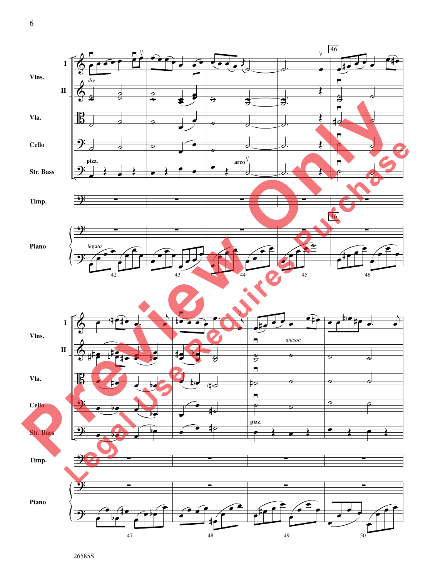

26585S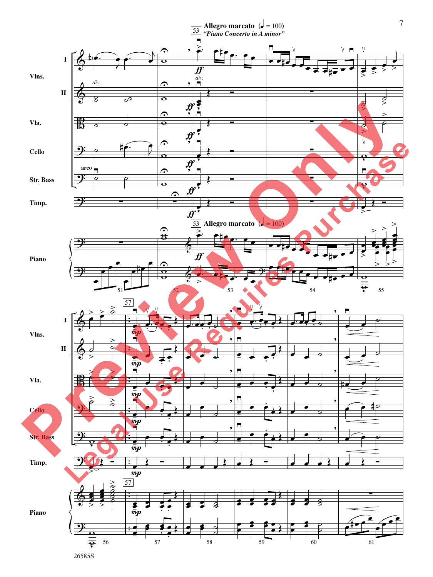